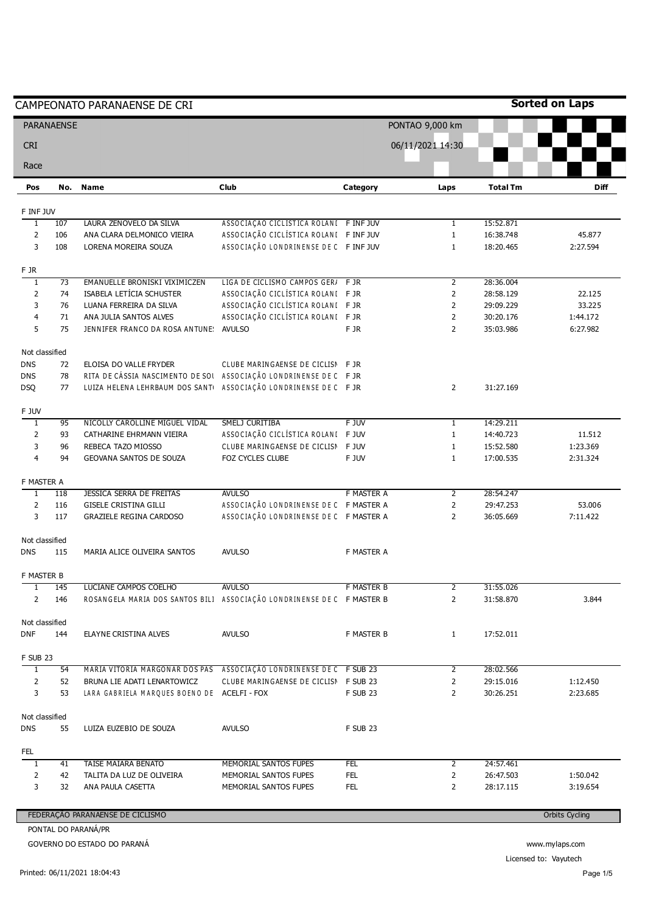|                 |                   | CAMPEONATO PARANAENSE DE CRI                                           |                                        |                 |                  |                 | <b>Sorted on Laps</b> |
|-----------------|-------------------|------------------------------------------------------------------------|----------------------------------------|-----------------|------------------|-----------------|-----------------------|
|                 | <b>PARANAENSE</b> |                                                                        |                                        |                 | PONTAO 9,000 km  |                 |                       |
| <b>CRI</b>      |                   |                                                                        |                                        |                 | 06/11/2021 14:30 |                 |                       |
| Race            |                   |                                                                        |                                        |                 |                  |                 |                       |
| Pos             | No.               | <b>Name</b>                                                            | <b>Club</b>                            | Category        | Laps             | <b>Total Tm</b> | <b>Diff</b>           |
| F INF JUV       |                   |                                                                        |                                        |                 |                  |                 |                       |
| $\overline{1}$  | 107               | LAURA ZENOVELO DA SILVA                                                | ASSOCIAÇÃO CICLISTICA ROLANI FINFJUV   |                 | $\mathbf{1}$     | 15:52.871       |                       |
| $\overline{2}$  | 106               | ANA CLARA DELMONICO VIEIRA                                             | ASSOCIAÇÃO CICLÍSTICA ROLANI FINFJUV   |                 | $1\,$            | 16:38.748       | 45.877                |
| 3               | 108               | LORENA MOREIRA SOUZA                                                   | ASSOCIAÇÃO LONDRINENSE DE C FINFJUV    |                 | $\mathbf{1}$     | 18:20.465       | 2:27.594              |
| F JR            |                   |                                                                        |                                        |                 |                  |                 |                       |
| $\overline{1}$  | $\overline{73}$   | EMANUELLE BRONISKI VIXIMICZEN                                          | LIGA DE CICLISMO CAMPOS GER/ F JR      |                 | $\overline{2}$   | 28:36.004       |                       |
| $\overline{2}$  | 74                | ISABELA LETÍCIA SCHUSTER                                               | ASSOCIAÇÃO CICLÍSTICA ROLANI FJR       |                 | $\overline{2}$   | 28:58.129       | 22.125                |
| 3               | 76                | LUANA FERREIRA DA SILVA                                                | ASSOCIAÇÃO CICLÍSTICA ROLANI FJR       |                 | $\overline{2}$   | 29:09.229       | 33.225                |
| 4               | 71                | ANA JULIA SANTOS ALVES                                                 | ASSOCIAÇÃO CICLÍSTICA ROLANI FJR       |                 | $\overline{2}$   | 30:20.176       | 1:44.172              |
| 5               | 75                | JENNIFER FRANCO DA ROSA ANTUNE:                                        | <b>AVULSO</b>                          | F JR            | $\overline{2}$   | 35:03.986       | 6:27.982              |
| Not classified  |                   |                                                                        |                                        |                 |                  |                 |                       |
| <b>DNS</b>      | 72                | ELOISA DO VALLE FRYDER                                                 | CLUBE MARINGAENSE DE CICLISN F JR      |                 |                  |                 |                       |
| <b>DNS</b>      | 78                | RITA DE CÁSSIA NASCIMENTO DE SOI ASSOCIAÇÃO LONDRINENSE DE C FJR       |                                        |                 |                  |                 |                       |
| <b>DSQ</b>      | 77                | LUIZA HELENA LEHRBAUM DOS SANTI ASSOCIAÇÃO LONDRINENSE DE C FJR        |                                        |                 | $\overline{2}$   | 31:27.169       |                       |
| F JUV           |                   |                                                                        |                                        |                 |                  |                 |                       |
| $\mathbf{1}$    | 95                | NICOLLY CAROLLINE MIGUEL VIDAL                                         | SMELJ CURITIBA                         | F JUV           | 1                | 14:29.211       |                       |
| $\overline{2}$  | 93                | CATHARINE EHRMANN VIEIRA                                               | ASSOCIAÇÃO CICLÍSTICA ROLANI FJUV      |                 | $\mathbf{1}$     | 14:40.723       | 11.512                |
| 3               | 96                | REBECA TAZO MIOSSO                                                     | CLUBE MARINGAENSE DE CICLISN           | F JUV           | $\mathbf{1}$     | 15:52.580       | 1:23.369              |
| $\overline{4}$  | 94                | GEOVANA SANTOS DE SOUZA                                                | FOZ CYCLES CLUBE                       | F JUV           | $\mathbf{1}$     | 17:00.535       | 2:31.324              |
| F MASTER A      |                   |                                                                        |                                        |                 |                  |                 |                       |
| $\overline{1}$  | 118               | <b>JESSICA SERRA DE FREITAS</b>                                        | <b>AVULSO</b>                          | F MASTER A      | $\overline{2}$   | 28:54.247       |                       |
| $\overline{2}$  | 116               | <b>GISELE CRISTINA GILLI</b>                                           | ASSOCIAÇÃO LONDRINENSE DE C FMASTER A  |                 | $\overline{2}$   | 29:47.253       | 53.006                |
| 3               | 117               | <b>GRAZIELE REGINA CARDOSO</b>                                         | ASSOCIAÇÃO LONDRINENSE DE C F MASTER A |                 | $\overline{2}$   | 36:05.669       | 7:11.422              |
| Not classified  |                   |                                                                        |                                        |                 |                  |                 |                       |
| <b>DNS</b>      | 115               | MARIA ALICE OLIVEIRA SANTOS                                            | <b>AVULSO</b>                          | F MASTER A      |                  |                 |                       |
| F MASTER B      |                   |                                                                        |                                        |                 |                  |                 |                       |
| $\mathbf{1}$    | 145               | LUCIANE CAMPOS COELHO                                                  | <b>AVULSO</b>                          | F MASTER B      | $\overline{2}$   | 31:55.026       |                       |
| $\overline{2}$  | 146               | ROSANGELA MARIA DOS SANTOS BILI ASSOCIAÇÃO LONDRINENSE DE C F MASTER B |                                        |                 | $\overline{2}$   | 31:58.870       | 3.844                 |
| Not classified  |                   |                                                                        |                                        |                 |                  |                 |                       |
| <b>DNF</b>      | 144               | ELAYNE CRISTINA ALVES                                                  | <b>AVULSO</b>                          | F MASTER B      | $\mathbf{1}$     | 17:52.011       |                       |
| <b>F SUB 23</b> |                   |                                                                        |                                        |                 |                  |                 |                       |
| $\mathbf{1}$    | 54                | MARIA VITORIA MARGONAR DOS PAS ASSOCIAÇÃO LONDRINENSE DE C F SUB 23    |                                        |                 | 2                | 28:02.566       |                       |
| $\overline{2}$  | 52                | BRUNA LIE ADATI LENARTOWICZ                                            | CLUBE MARINGAENSE DE CICLISN F SUB 23  |                 | $\overline{2}$   | 29:15.016       | 1:12.450              |
| 3               | 53                | LARA GABRIELA MARQUES BOENO DE ACELFI-FOX                              |                                        | <b>F SUB 23</b> | $\overline{2}$   | 30:26.251       | 2:23.685              |
| Not classified  |                   |                                                                        |                                        |                 |                  |                 |                       |
| <b>DNS</b>      | 55                | LUIZA EUZEBIO DE SOUZA                                                 | <b>AVULSO</b>                          | <b>F SUB 23</b> |                  |                 |                       |
| FEL             |                   |                                                                        |                                        |                 |                  |                 |                       |
| $\overline{1}$  | 41                | <b>TAISE MAIARA BENATO</b>                                             | MEMORIAL SANTOS FUPES                  | FEL             | $\overline{2}$   | 24:57.461       |                       |
| $\overline{2}$  | 42                | TALITA DA LUZ DE OLIVEIRA                                              | MEMORIAL SANTOS FUPES                  | <b>FEL</b>      | $\overline{2}$   | 26:47.503       | 1:50.042              |
| 3               | 32                | ANA PAULA CASETTA                                                      | MEMORIAL SANTOS FUPES                  | FEL             | $\overline{2}$   | 28:17.115       | 3:19.654              |
|                 |                   |                                                                        |                                        |                 |                  |                 |                       |
|                 |                   | FEDERAÇÃO PARANAENSE DE CICLISMO                                       |                                        |                 |                  |                 | <b>Orbits Cycling</b> |
|                 |                   | PONTAL DO PARANÁ/PR<br>GOVERNO DO ESTADO DO PARANÁ                     |                                        |                 |                  |                 |                       |
|                 |                   |                                                                        |                                        |                 |                  |                 | www.mylaps.com        |

Printed: 06/11/2021 18:04:43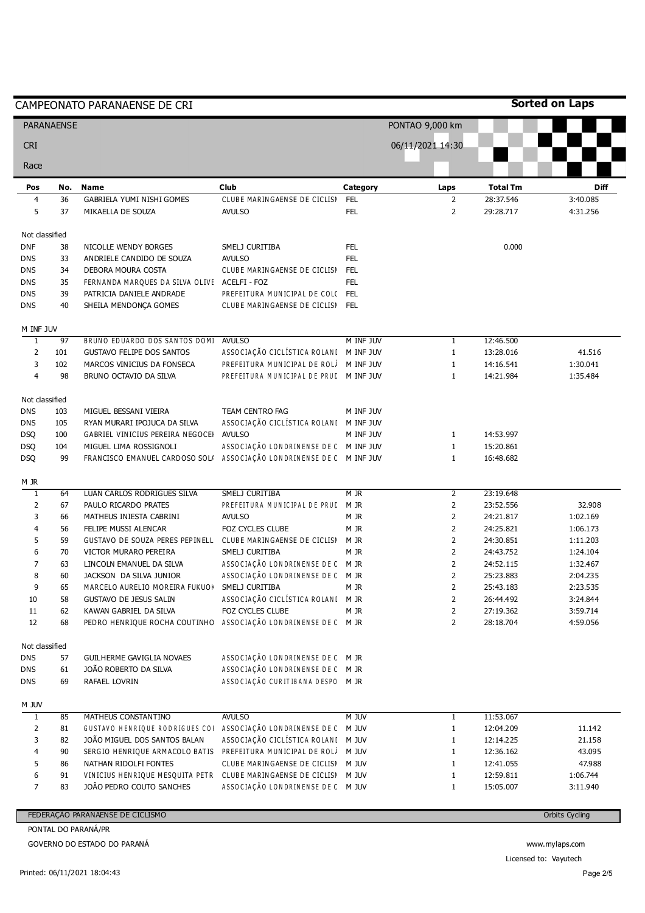|                              |                   | CAMPEONATO PARANAENSE DE CRI                                                                   |                                                                    |                          |                                  |                        | <b>Sorted on Laps</b> |
|------------------------------|-------------------|------------------------------------------------------------------------------------------------|--------------------------------------------------------------------|--------------------------|----------------------------------|------------------------|-----------------------|
|                              | <b>PARANAENSE</b> |                                                                                                |                                                                    |                          | PONTAO 9,000 km                  |                        |                       |
| <b>CRI</b>                   |                   |                                                                                                |                                                                    |                          | 06/11/2021 14:30                 |                        |                       |
| Race                         |                   |                                                                                                |                                                                    |                          |                                  |                        |                       |
| Pos                          | No.               | <b>Name</b>                                                                                    | <b>Club</b>                                                        | Category                 | Laps                             | <b>Total Tm</b>        | Diff                  |
| $\overline{\mathbf{4}}$<br>5 | 36<br>37          | <b>GABRIELA YUMI NISHI GOMES</b><br>MIKAELLA DE SOUZA                                          | CLUBE MARINGAENSE DE CICLISN<br><b>AVULSO</b>                      | <b>FEL</b><br><b>FEL</b> | $\overline{2}$<br>$\overline{2}$ | 28:37.546<br>29:28.717 | 3:40.085<br>4:31.256  |
| Not classified               |                   |                                                                                                |                                                                    |                          |                                  |                        |                       |
| <b>DNF</b>                   | 38                | NICOLLE WENDY BORGES                                                                           | SMELJ CURITIBA                                                     | <b>FEL</b>               |                                  | 0.000                  |                       |
| <b>DNS</b>                   | 33                | ANDRIELE CANDIDO DE SOUZA                                                                      | <b>AVULSO</b>                                                      | <b>FEL</b>               |                                  |                        |                       |
| <b>DNS</b>                   | 34                | DEBORA MOURA COSTA                                                                             | CLUBE MARINGAENSE DE CICLISN                                       | <b>FEL</b>               |                                  |                        |                       |
| <b>DNS</b>                   | 35<br>39          | FERNANDA MARQUES DA SILVA OLIVE ACELFI - FOZ                                                   |                                                                    | <b>FEL</b>               |                                  |                        |                       |
| <b>DNS</b><br><b>DNS</b>     | 40                | PATRICIA DANIELE ANDRADE<br>SHEILA MENDONÇA GOMES                                              | PREFEITURA MUNICIPAL DE COLC FEL<br>CLUBE MARINGAENSE DE CICLISN   | <b>FEL</b>               |                                  |                        |                       |
|                              |                   |                                                                                                |                                                                    |                          |                                  |                        |                       |
| M INF JUV<br>$\mathbf{1}$    | 97                | BRUNO EDUARDO DOS SANTOS DOMI                                                                  | <b>AVULSO</b>                                                      | M INF JUV                | $\mathbf{1}$                     | 12:46.500              |                       |
| $\overline{2}$               | 101               | <b>GUSTAVO FELIPE DOS SANTOS</b>                                                               | ASSOCIAÇÃO CICLÍSTICA ROLANI M INFJUV                              |                          | $\mathbf{1}$                     | 13:28.016              | 41.516                |
| 3                            | 102               | MARCOS VINICIUS DA FONSECA                                                                     | PREFEITURA MUNICIPAL DE ROLÍ                                       | M INF JUV                | $\mathbf 1$                      | 14:16.541              | 1:30.041              |
| $\overline{4}$               | 98                | BRUNO OCTAVIO DA SILVA                                                                         | PREFEITURA MUNICIPAL DE PRUD MINF JUV                              |                          | $\mathbf{1}$                     | 14:21.984              | 1:35.484              |
| Not classified               |                   |                                                                                                |                                                                    |                          |                                  |                        |                       |
| <b>DNS</b>                   | 103               | MIGUEL BESSANI VIEIRA                                                                          | TEAM CENTRO FAG                                                    | M INF JUV                |                                  |                        |                       |
| <b>DNS</b>                   | 105               | RYAN MURARI IPOJUCA DA SILVA                                                                   | ASSOCIAÇÃO CICLÍSTICA ROLANI M INFJUV                              |                          |                                  |                        |                       |
| <b>DSQ</b>                   | 100               | GABRIEL VINICIUS PEREIRA NEGOCEI                                                               | <b>AVULSO</b>                                                      | M INF JUV                | $\mathbf{1}$                     | 14:53.997              |                       |
| <b>DSQ</b><br><b>DSQ</b>     | 104<br>99         | MIGUEL LIMA ROSSIGNOLI<br>FRANCISCO EMANUEL CARDOSO SOL/ ASSOCIAÇÃO LONDRINENSE DE C M INF JUV | ASSOCIAÇÃO LONDRINENSE DE C M INF JUV                              |                          | $1\,$<br>$\mathbf{1}$            | 15:20.861<br>16:48.682 |                       |
|                              |                   |                                                                                                |                                                                    |                          |                                  |                        |                       |
| M JR<br>$\mathbf{1}$         | 64                | LUAN CARLOS RODRIGUES SILVA                                                                    | SMELJ CURITIBA                                                     | $M$ JR                   | 2                                | 23:19.648              |                       |
| $\overline{2}$               | 67                | PAULO RICARDO PRATES                                                                           | PREFEITURA MUNICIPAL DE PRUD                                       | M JR                     | $\overline{2}$                   | 23:52.556              | 32.908                |
| 3                            | 66                | MATHEUS INIESTA CABRINI                                                                        | <b>AVULSO</b>                                                      | M JR                     | $\overline{2}$                   | 24:21.817              | 1:02.169              |
| 4                            | 56                | FELIPE MUSSI ALENCAR                                                                           | <b>FOZ CYCLES CLUBE</b>                                            | M JR                     | 2                                | 24:25.821              | 1:06.173              |
| 5                            | 59                | GUSTAVO DE SOUZA PERES PEPINELL CLUBE MARINGAENSE DE CICLISN                                   |                                                                    | m jr                     | $\overline{2}$                   | 24:30.851              | 1:11.203              |
| 6                            | 70                | VICTOR MURARO PEREIRA                                                                          | SMELJ CURITIBA                                                     | M JR                     | $\overline{2}$                   | 24:43.752              | 1:24.104              |
| 7                            | 63                | LINCOLN EMANUEL DA SILVA                                                                       | ASSOCIAÇÃO LONDRINENSE DE C M JR                                   |                          | $\overline{2}$                   | 24:52.115              | 1:32.467              |
| 8                            | 60                | JACKSON DA SILVA JUNIOR                                                                        | ASSOCIAÇÃO LONDRINENSE DE C M JR                                   |                          | 2                                | 25:23.883              | 2:04.235              |
| 9                            | 65                | MARCELO AURELIO MOREIRA FUKUOI SMELJ CURITIBA                                                  |                                                                    | M JR                     | 2                                | 25:43.183              | 2:23.535              |
| $10\,$                       | 58                | <b>GUSTAVO DE JESUS SALIN</b>                                                                  | ASSOCIAÇÃO CICLÍSTICA ROLANI M JR<br>FOZ CYCLES CLUBE              |                          | $\overline{2}$                   | 26:44.492              | 3:24.844              |
| 11<br>12                     | 62<br>68          | KAWAN GABRIEL DA SILVA<br>PEDRO HENRIQUE ROCHA COUTINHO                                        | ASSOCIAÇÃO LONDRINENSE DE C M JR                                   | M JR                     | $\overline{2}$<br>$\overline{2}$ | 27:19.362<br>28:18.704 | 3:59.714<br>4:59.056  |
|                              |                   |                                                                                                |                                                                    |                          |                                  |                        |                       |
| Not classified<br>DNS        | 57                | GUILHERME GAVIGLIA NOVAES                                                                      | ASSOCIAÇÃO LONDRINENSE DE C M JR                                   |                          |                                  |                        |                       |
| DNS                          | 61                | JOÃO ROBERTO DA SILVA                                                                          | ASSOCIAÇÃO LONDRINENSE DE C M JR                                   |                          |                                  |                        |                       |
| DNS                          | 69                | RAFAEL LOVRIN                                                                                  | ASSOCIAÇÃO CURITIBANA DESPO M JR                                   |                          |                                  |                        |                       |
| M JUV                        |                   |                                                                                                |                                                                    |                          |                                  |                        |                       |
| $\overline{1}$               | 85                | MATHEUS CONSTANTINO                                                                            | <b>AVULSO</b>                                                      | <b>M JUV</b>             | $\mathbf{1}$                     | 11:53.067              |                       |
| $\mathsf{2}$                 | 81                | GUSTAVO HENRIQUE RODRIGUES COI                                                                 | ASSOCIAÇÃO LONDRINENSE DE C                                        | M JUV                    | $\mathbf{1}$                     | 12:04.209              | 11.142                |
| 3                            | 82                | JOÃO MIGUEL DOS SANTOS BALAN                                                                   | ASSOCIAÇÃO CICLÍSTICA ROLANI                                       | M JUV                    | $\mathbf{1}$                     | 12:14.225              | 21.158                |
| 4<br>5                       | 90<br>86          | SERGIO HENRIQUE ARMACOLO BATIS<br>NATHAN RIDOLFI FONTES                                        | PREFEITURA MUNICIPAL DE ROLÍ<br>CLUBE MARINGAENSE DE CICLISN M JUV | M JUV                    | $\mathbf{1}$<br>$\mathbf{1}$     | 12:36.162<br>12:41.055 | 43.095<br>47.988      |
| 6                            | 91                | VINICIUS HENRIQUE MESQUITA PETR                                                                | CLUBE MARINGAENSE DE CICLISN M JUV                                 |                          | $\mathbf{1}$                     | 12:59.811              | 1:06.744              |
| $\overline{7}$               | 83                | JOÃO PEDRO COUTO SANCHES                                                                       | ASSOCIAÇÃO LONDRINENSE DE C M JUV                                  |                          | $1\,$                            | 15:05.007              | 3:11.940              |
|                              |                   | FEDERAÇÃO PARANAENSE DE CICLISMO                                                               |                                                                    |                          |                                  |                        | <b>Orbits Cycling</b> |
|                              |                   | PONTAL DO PARANÁ/PR                                                                            |                                                                    |                          |                                  |                        |                       |
|                              |                   | GOVERNO DO ESTADO DO PARANÁ                                                                    |                                                                    |                          |                                  |                        | www.mylaps.com        |
|                              |                   |                                                                                                |                                                                    |                          |                                  |                        |                       |

www.mylaps.com Licensed to: Vayutech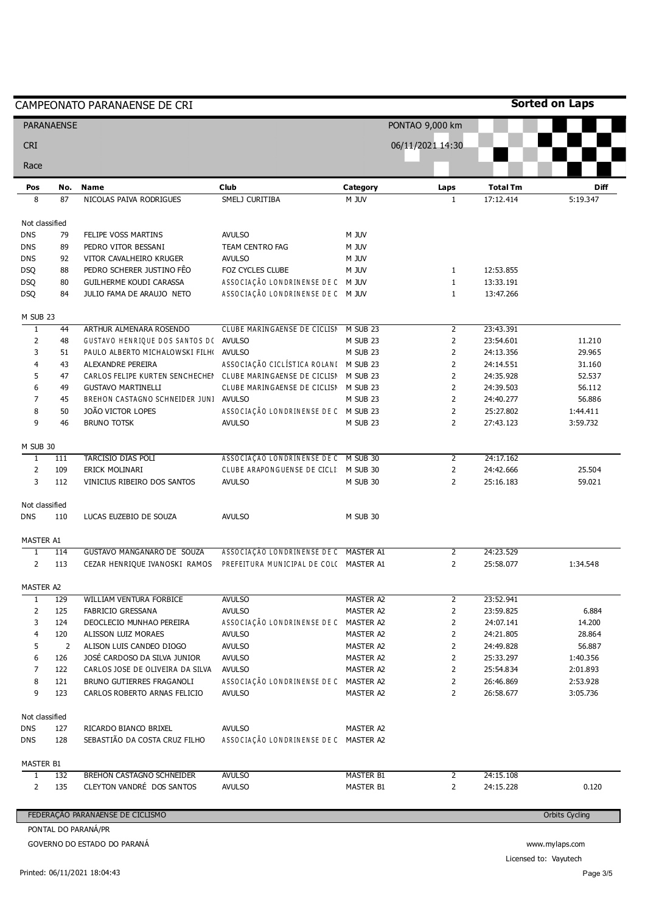|                   |     | CAMPEONATO PARANAENSE DE CRI                                          |                                        |                  |                  |                 | <b>Sorted on Laps</b> |
|-------------------|-----|-----------------------------------------------------------------------|----------------------------------------|------------------|------------------|-----------------|-----------------------|
| <b>PARANAENSE</b> |     |                                                                       |                                        |                  | PONTAO 9,000 km  |                 |                       |
| <b>CRI</b>        |     |                                                                       |                                        |                  | 06/11/2021 14:30 |                 |                       |
| Race              |     |                                                                       |                                        |                  |                  |                 |                       |
| Pos               | No. | <b>Name</b>                                                           | Club                                   | Category         | Laps             | <b>Total Tm</b> | Diff                  |
| 8                 | 87  | NICOLAS PAIVA RODRIGUES                                               | SMELJ CURITIBA                         | M JUV            | $\mathbf{1}$     | 17:12.414       | 5:19.347              |
| Not classified    |     |                                                                       |                                        |                  |                  |                 |                       |
| <b>DNS</b>        | 79  | FELIPE VOSS MARTINS                                                   | <b>AVULSO</b>                          | M JUV            |                  |                 |                       |
| <b>DNS</b>        | 89  | PEDRO VITOR BESSANI                                                   | TEAM CENTRO FAG                        | M JUV            |                  |                 |                       |
| <b>DNS</b>        | 92  | VITOR CAVALHEIRO KRUGER                                               | <b>AVULSO</b>                          | M JUV            |                  |                 |                       |
| <b>DSQ</b>        | 88  | PEDRO SCHERER JUSTINO FÊO                                             | FOZ CYCLES CLUBE                       | M JUV            | $\mathbf{1}$     | 12:53.855       |                       |
| <b>DSQ</b>        | 80  | GUILHERME KOUDI CARASSA                                               | ASSOCIAÇÃO LONDRINENSE DE C M JUV      |                  | $\mathbf{1}$     | 13:33.191       |                       |
| <b>DSQ</b>        | 84  | JULIO FAMA DE ARAUJO NETO                                             | ASSOCIAÇÃO LONDRINENSE DE C M JUV      |                  | $\mathbf{1}$     | 13:47.266       |                       |
| M SUB 23          |     |                                                                       |                                        |                  |                  |                 |                       |
| $\overline{1}$    | 44  | ARTHUR ALMENARA ROSENDO                                               | CLUBE MARINGAENSE DE CICLISN           | M SUB 23         | $\overline{2}$   | 23:43.391       |                       |
| $\overline{2}$    | 48  | GUSTAVO HENRIQUE DOS SANTOS D( AVULSO                                 |                                        | M SUB 23         | $\overline{2}$   | 23:54.601       | 11.210                |
| 3                 | 51  | PAULO ALBERTO MICHALOWSKI FILH(                                       | <b>AVULSO</b>                          | M SUB 23         | $\overline{2}$   | 24:13.356       | 29.965                |
| 4                 | 43  | ALEXANDRE PEREIRA                                                     | ASSOCIAÇÃO CICLÍSTICA ROLANI M SUB 23  |                  | $\overline{2}$   | 24:14.551       | 31.160                |
| 5                 | 47  | CARLOS FELIPE KURTEN SENCHECHEI CLUBE MARINGAENSE DE CICLISI M SUB 23 |                                        |                  | $\overline{2}$   | 24:35.928       | 52.537                |
| 6                 | 49  | <b>GUSTAVO MARTINELLI</b>                                             | CLUBE MARINGAENSE DE CICLISN M SUB 23  |                  | $\overline{2}$   | 24:39.503       | 56.112                |
| $\overline{7}$    | 45  | BREHON CASTAGNO SCHNEIDER JUNI AVULSO                                 |                                        | M SUB 23         | $\overline{2}$   | 24:40.277       | 56.886                |
| 8                 | 50  | JOÃO VICTOR LOPES                                                     | ASSOCIAÇÃO LONDRINENSE DE C M SUB 23   |                  | $\overline{2}$   | 25:27.802       | 1:44.411              |
| 9                 | 46  | <b>BRUNO TOTSK</b>                                                    | <b>AVULSO</b>                          | M SUB 23         | $\overline{2}$   | 27:43.123       | 3:59.732              |
| M SUB 30          |     |                                                                       |                                        |                  |                  |                 |                       |
| $\overline{1}$    | 111 | <b>TARCISIO DIAS POLI</b>                                             | ASSOCIAÇÃO LONDRINENSE DE C M SUB 30   |                  | $\overline{2}$   | 24:17.162       |                       |
| $\overline{2}$    | 109 | ERICK MOLINARI                                                        | CLUBE ARAPONGUENSE DE CICLI: M SUB 30  |                  | $\overline{2}$   | 24:42.666       | 25.504                |
| 3                 | 112 | VINICIUS RIBEIRO DOS SANTOS                                           | <b>AVULSO</b>                          | M SUB 30         | $\overline{2}$   | 25:16.183       | 59.021                |
| Not classified    |     |                                                                       |                                        |                  |                  |                 |                       |
| <b>DNS</b>        | 110 | LUCAS EUZEBIO DE SOUZA                                                | <b>AVULSO</b>                          | M SUB 30         |                  |                 |                       |
| MASTER A1         |     |                                                                       |                                        |                  |                  |                 |                       |
| $\overline{1}$    | 114 | GUSTAVO MANGANARO DE SOUZA                                            | ASSOCIAÇÃO LONDRINENSE DE C MASTER A1  |                  | $\overline{2}$   | 24:23.529       |                       |
| $\overline{2}$    | 113 | CEZAR HENRIQUE IVANOSKI RAMOS                                         | PREFEITURA MUNICIPAL DE COLC MASTER A1 |                  | $\overline{2}$   | 25:58.077       | 1:34.548              |
| MASTER A2         |     |                                                                       |                                        |                  |                  |                 |                       |
| $\mathbf{1}$      | 129 | WILLIAM VENTURA FORBICE                                               | <b>AVULSO</b>                          | <b>MASTER A2</b> | $\overline{2}$   | 23:52.941       |                       |
| $\overline{2}$    | 125 | FABRICIO GRESSANA                                                     | <b>AVULSO</b>                          | MASTER A2        | $\overline{2}$   | 23:59.825       | 6.884                 |
| 3                 | 124 | DEOCLECIO MUNHAO PEREIRA                                              | ASSOCIAÇÃO LONDRINENSE DE C MASTER A2  |                  | $\overline{2}$   | 24:07.141       | 14.200                |
| 4                 | 120 | ALISSON LUIZ MORAES                                                   | <b>AVULSO</b>                          | MASTER A2        | $\overline{2}$   | 24:21.805       | 28.864                |
| 5                 | 2   | ALISON LUIS CANDEO DIOGO                                              | <b>AVULSO</b>                          | MASTER A2        | $\overline{2}$   | 24:49.828       | 56.887                |
| 6                 | 126 | JOSÉ CARDOSO DA SILVA JUNIOR                                          | <b>AVULSO</b>                          | MASTER A2        | $\overline{2}$   | 25:33.297       | 1:40.356              |
| 7                 | 122 | CARLOS JOSE DE OLIVEIRA DA SILVA                                      | <b>AVULSO</b>                          | MASTER A2        | $\overline{2}$   | 25:54.834       | 2:01.893              |
| 8                 | 121 | BRUNO GUTIERRES FRAGANOLI                                             | ASSOCIAÇÃO LONDRINENSE DE C MASTER A2  |                  | $\overline{2}$   | 26:46.869       | 2:53.928              |
| 9                 | 123 | CARLOS ROBERTO ARNAS FELICIO                                          | <b>AVULSO</b>                          | MASTER A2        | $\overline{2}$   | 26:58.677       | 3:05.736              |
| Not classified    |     |                                                                       |                                        |                  |                  |                 |                       |
| <b>DNS</b>        | 127 | RICARDO BIANCO BRIXEL                                                 | <b>AVULSO</b>                          | MASTER A2        |                  |                 |                       |
| <b>DNS</b>        | 128 | SEBASTIÃO DA COSTA CRUZ FILHO                                         | ASSOCIAÇÃO LONDRINENSE DE C MASTER A2  |                  |                  |                 |                       |
| MASTER B1         |     |                                                                       |                                        |                  |                  |                 |                       |
| $\mathbf{1}$      | 132 | <b>BREHON CASTAGNO SCHNEIDER</b>                                      | <b>AVULSO</b>                          | <b>MASTER B1</b> | 2                | 24:15.108       |                       |
| $\overline{2}$    | 135 | CLEYTON VANDRÉ DOS SANTOS                                             | <b>AVULSO</b>                          | MASTER B1        | $\overline{2}$   | 24:15.228       | 0.120                 |
|                   |     |                                                                       |                                        |                  |                  |                 |                       |
|                   |     | FEDERAÇÃO PARANAENSE DE CICLISMO                                      |                                        |                  |                  |                 | <b>Orbits Cycling</b> |

GOVERNO DO ESTADO DO PARANÁ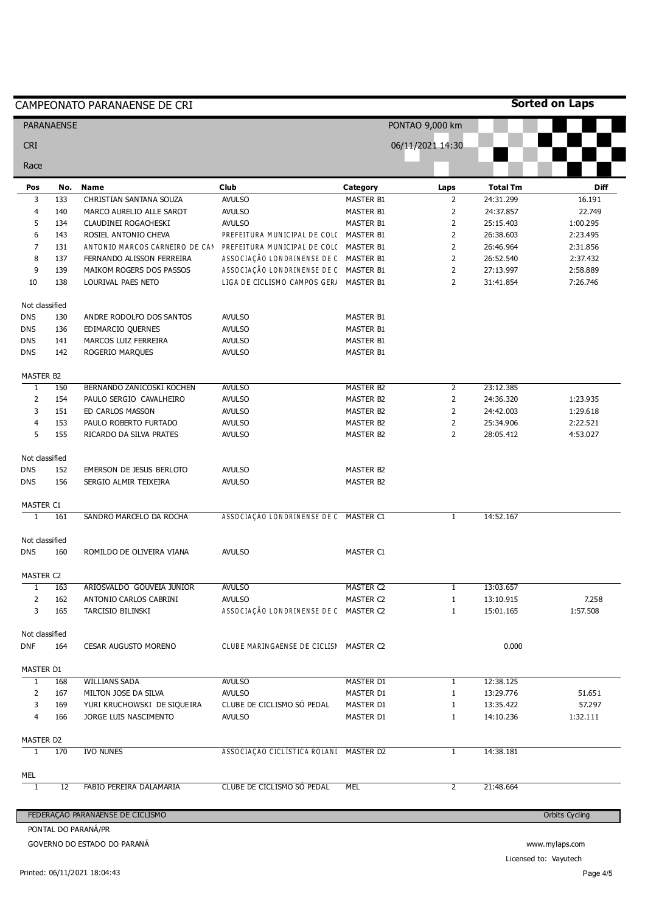|                              |                   | CAMPEONATO PARANAENSE DE CRI                   |                                                                                 |                  |                     |                        | <b>Sorted on Laps</b> |
|------------------------------|-------------------|------------------------------------------------|---------------------------------------------------------------------------------|------------------|---------------------|------------------------|-----------------------|
|                              | <b>PARANAENSE</b> |                                                |                                                                                 |                  | PONTAO 9,000 km     |                        |                       |
| <b>CRI</b>                   |                   |                                                |                                                                                 |                  | 06/11/2021 14:30    |                        |                       |
| Race                         |                   |                                                |                                                                                 |                  |                     |                        |                       |
| Pos                          | No.               | <b>Name</b>                                    | Club                                                                            | Category         | Laps                | <b>Total Tm</b>        | <b>Diff</b>           |
| 3                            | 133               | CHRISTIAN SANTANA SOUZA                        | <b>AVULSO</b>                                                                   | <b>MASTER B1</b> | $\overline{2}$      | 24:31.299              | 16.191                |
| 4                            | 140               | MARCO AURELIO ALLE SAROT                       | <b>AVULSO</b>                                                                   | <b>MASTER B1</b> | $\overline{2}$      | 24:37.857              | 22.749                |
| 5                            | 134               | CLAUDINEI ROGACHESKI                           | <b>AVULSO</b>                                                                   | MASTER B1        | $\overline{2}$      | 25:15.403              | 1:00.295              |
| 6                            | 143               | ROSIEL ANTONIO CHEVA                           | PREFEITURA MUNICIPAL DE COLC MASTER B1                                          |                  | $\overline{2}$      | 26:38.603              | 2:23.495              |
| $\overline{7}$               | 131               | ANTONIO MARCOS CARNEIRO DE CAN                 | PREFEITURA MUNICIPAL DE COLC MASTER B1                                          |                  | 2                   | 26:46.964              | 2:31.856              |
| 8                            | 137               | FERNANDO ALISSON FERREIRA                      | ASSOCIAÇÃO LONDRINENSE DE C MASTER B1                                           |                  | $\overline{2}$      | 26:52.540              | 2:37.432              |
| 9<br>10                      | 139<br>138        | MAIKOM ROGERS DOS PASSOS<br>LOURIVAL PAES NETO | ASSOCIAÇÃO LONDRINENSE DE C MASTER B1<br>LIGA DE CICLISMO CAMPOS GER/ MASTER B1 |                  | $\overline{2}$<br>2 | 27:13.997<br>31:41.854 | 2:58.889<br>7:26.746  |
|                              | Not classified    |                                                |                                                                                 |                  |                     |                        |                       |
| <b>DNS</b>                   | 130               | ANDRE RODOLFO DOS SANTOS                       | <b>AVULSO</b>                                                                   | <b>MASTER B1</b> |                     |                        |                       |
| <b>DNS</b>                   | 136               | EDIMARCIO QUERNES                              | <b>AVULSO</b>                                                                   | MASTER B1        |                     |                        |                       |
| <b>DNS</b>                   | 141               | MARCOS LUIZ FERREIRA                           | <b>AVULSO</b>                                                                   | MASTER B1        |                     |                        |                       |
| <b>DNS</b>                   | 142               | ROGERIO MARQUES                                | <b>AVULSO</b>                                                                   | MASTER B1        |                     |                        |                       |
| MASTER B2                    |                   |                                                |                                                                                 |                  |                     |                        |                       |
| $\overline{1}$               | 150               | BERNANDO ZANICOSKI KOCHEN                      | <b>AVULSO</b>                                                                   | <b>MASTER B2</b> | $\overline{2}$      | 23:12.385              |                       |
| $\overline{2}$               | 154               | PAULO SERGIO CAVALHEIRO                        | <b>AVULSO</b>                                                                   | MASTER B2        | $\overline{2}$      | 24:36.320              | 1:23.935              |
| 3                            | 151               | ED CARLOS MASSON                               | <b>AVULSO</b>                                                                   | MASTER B2        | $\overline{2}$      | 24:42.003              | 1:29.618              |
| $\overline{\mathbf{4}}$      | 153               | PAULO ROBERTO FURTADO                          | <b>AVULSO</b>                                                                   | <b>MASTER B2</b> | $\overline{2}$      | 25:34.906              | 2:22.521              |
| 5                            | 155               | RICARDO DA SILVA PRATES                        | <b>AVULSO</b>                                                                   | MASTER B2        | $\overline{2}$      | 28:05.412              | 4:53.027              |
| Not classified<br><b>DNS</b> | 152               | EMERSON DE JESUS BERLOTO                       | <b>AVULSO</b>                                                                   | MASTER B2        |                     |                        |                       |
| <b>DNS</b>                   | 156               | SERGIO ALMIR TEIXEIRA                          | <b>AVULSO</b>                                                                   | <b>MASTER B2</b> |                     |                        |                       |
|                              |                   |                                                |                                                                                 |                  |                     |                        |                       |
| MASTER C1<br>1               | 161               | SANDRO MARCELO DA ROCHA                        | ASSOCIAÇÃO LONDRINENSE DE C MASTER C1                                           |                  | $\mathbf{1}$        | 14:52.167              |                       |
|                              |                   |                                                |                                                                                 |                  |                     |                        |                       |
| Not classified               |                   |                                                |                                                                                 |                  |                     |                        |                       |
| DNS                          | 160               | ROMILDO DE OLIVEIRA VIANA                      | <b>AVULSO</b>                                                                   | MASTER C1        |                     |                        |                       |
| MASTER C2                    |                   |                                                |                                                                                 |                  |                     |                        |                       |
| $\mathbf{1}$                 | 163               | ARIOSVALDO GOUVEIA JUNIOR                      | <b>AVULSO</b>                                                                   | <b>MASTER C2</b> | 1                   | 13:03.657              |                       |
| $\mathbf{2}$                 | 162               | ANTONIO CARLOS CABRINI                         | <b>AVULSO</b>                                                                   | MASTER C2        | $\mathbf{1}$        | 13:10.915              | 7.258                 |
| 3                            | 165               | TARCISIO BILINSKI                              | ASSOCIAÇÃO LONDRINENSE DE C MASTER C2                                           |                  | $1\,$               | 15:01.165              | 1:57.508              |
| Not classified<br>DNF        | 164               | CESAR AUGUSTO MORENO                           | CLUBE MARINGAENSE DE CICLISN MASTER C2                                          |                  |                     | 0.000                  |                       |
|                              |                   |                                                |                                                                                 |                  |                     |                        |                       |
| MASTER D1<br>$\mathbf{1}$    | 168               | <b>WILLIANS SADA</b>                           | <b>AVULSO</b>                                                                   | MASTER D1        | $\mathbf{1}$        | 12:38.125              |                       |
| 2                            | 167               | MILTON JOSE DA SILVA                           | <b>AVULSO</b>                                                                   | MASTER D1        | $\mathbf{1}$        | 13:29.776              | 51.651                |
| 3                            | 169               | YURI KRUCHOWSKI DE SIQUEIRA                    | CLUBE DE CICLISMO SÓ PEDAL                                                      | MASTER D1        | 1                   | 13:35.422              | 57.297                |
| $\overline{4}$               | 166               | JORGE LUIS NASCIMENTO                          | <b>AVULSO</b>                                                                   | MASTER D1        | $\mathbf{1}$        | 14:10.236              | 1:32.111              |
|                              |                   |                                                |                                                                                 |                  |                     |                        |                       |
| MASTER D2<br>1               | 170               | <b>IVO NUNES</b>                               | ASSOCIAÇÃO CICLÍSTICA ROLANI MASTER D2                                          |                  | $\mathbf{1}$        | 14:38.181              |                       |
| MEL                          |                   |                                                |                                                                                 |                  |                     |                        |                       |
| $\overline{1}$               | 12                | FABIO PEREIRA DALAMARIA                        | CLUBE DE CICLISMO SO PEDAL                                                      | MEL              | $\overline{2}$      | 21:48.664              |                       |
|                              |                   |                                                |                                                                                 |                  |                     |                        |                       |
|                              |                   | FEDERAÇÃO PARANAENSE DE CICLISMO               |                                                                                 |                  |                     |                        | <b>Orbits Cycling</b> |

Licensed to: Vayutech